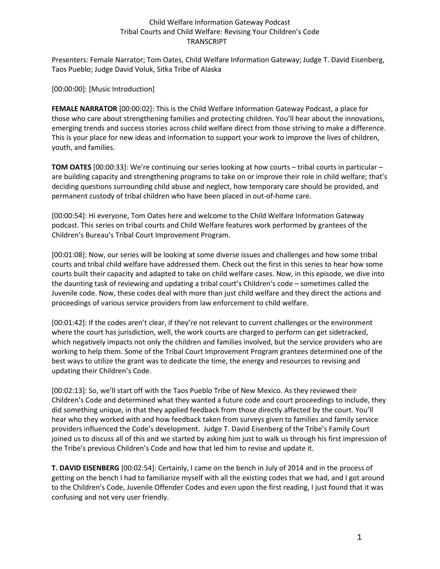Presenters: Female Narrator; Tom Oates, Child Welfare Information Gateway; Judge T. David Eisenberg, Taos Pueblo; Judge David Voluk, Sitka Tribe of Alaska

[00:00:00]: [Music Introduction]

**FEMALE NARRATOR** [00:00:02]: This is the Child Welfare Information Gateway Podcast, a place for those who care about strengthening families and protecting children. You'll hear about the innovations, emerging trends and success stories across child welfare direct from those striving to make a difference. This is your place for new ideas and information to support your work to improve the lives of children, youth, and families.

**TOM OATES** [00:00:33]: We're continuing our series looking at how courts – tribal courts in particular – are building capacity and strengthening programs to take on or improve their role in child welfare; that's deciding questions surrounding child abuse and neglect, how temporary care should be provided, and permanent custody of tribal children who have been placed in out-of-home care.

[00:00:54]: Hi everyone, Tom Oates here and welcome to the Child Welfare Information Gateway podcast. This series on tribal courts and Child Welfare features work performed by grantees of the Children's Bureau's Tribal Court Improvement Program.

[00:01:08]: Now, our series will be looking at some diverse issues and challenges and how some tribal courts and tribal child welfare have addressed them. Check out the first in this series to hear how some courts built their capacity and adapted to take on child welfare cases. Now, in this episode, we dive into the daunting task of reviewing and updating a tribal court's Children's code – sometimes called the Juvenile code. Now, these codes deal with more than just child welfare and they direct the actions and proceedings of various service providers from law enforcement to child welfare.

[00:01:42]: If the codes aren't clear, if they're not relevant to current challenges or the environment where the court has jurisdiction, well, the work courts are charged to perform can get sidetracked, which negatively impacts not only the children and families involved, but the service providers who are working to help them. Some of the Tribal Court Improvement Program grantees determined one of the best ways to utilize the grant was to dedicate the time, the energy and resources to revising and updating their Children's Code.

[00:02:13]: So, we'll start off with the Taos Pueblo Tribe of New Mexico. As they reviewed their Children's Code and determined what they wanted a future code and court proceedings to include, they did something unique, in that they applied feedback from those directly affected by the court. You'll hear who they worked with and how feedback taken from surveys given to families and family service providers influenced the Code's development. Judge T. David Eisenberg of the Tribe's Family Court joined us to discuss all of this and we started by asking him just to walk us through his first impression of the Tribe's previous Children's Code and how that led him to revise and update it.

**T. DAVID EISENBERG** [00:02:54]: Certainly, I came on the bench in July of 2014 and in the process of getting on the bench I had to familiarize myself with all the existing codes that we had, and I got around to the Children's Code, Juvenile Offender Codes and even upon the first reading, I just found that it was confusing and not very user friendly.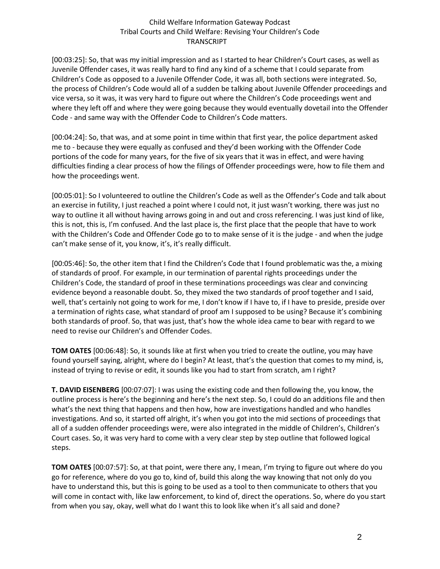[00:03:25]: So, that was my initial impression and as I started to hear Children's Court cases, as well as Juvenile Offender cases, it was really hard to find any kind of a scheme that I could separate from Children's Code as opposed to a Juvenile Offender Code, it was all, both sections were integrated. So, the process of Children's Code would all of a sudden be talking about Juvenile Offender proceedings and vice versa, so it was, it was very hard to figure out where the Children's Code proceedings went and where they left off and where they were going because they would eventually dovetail into the Offender Code - and same way with the Offender Code to Children's Code matters.

[00:04:24]: So, that was, and at some point in time within that first year, the police department asked me to - because they were equally as confused and they'd been working with the Offender Code portions of the code for many years, for the five of six years that it was in effect, and were having difficulties finding a clear process of how the filings of Offender proceedings were, how to file them and how the proceedings went.

[00:05:01]: So I volunteered to outline the Children's Code as well as the Offender's Code and talk about an exercise in futility, I just reached a point where I could not, it just wasn't working, there was just no way to outline it all without having arrows going in and out and cross referencing. I was just kind of like, this is not, this is, I'm confused. And the last place is, the first place that the people that have to work with the Children's Code and Offender Code go to to make sense of it is the judge - and when the judge can't make sense of it, you know, it's, it's really difficult.

[00:05:46]: So, the other item that I find the Children's Code that I found problematic was the, a mixing of standards of proof. For example, in our termination of parental rights proceedings under the Children's Code, the standard of proof in these terminations proceedings was clear and convincing evidence beyond a reasonable doubt. So, they mixed the two standards of proof together and I said, well, that's certainly not going to work for me, I don't know if I have to, if I have to preside, preside over a termination of rights case, what standard of proof am I supposed to be using? Because it's combining both standards of proof. So, that was just, that's how the whole idea came to bear with regard to we need to revise our Children's and Offender Codes.

**TOM OATES** [00:06:48]: So, it sounds like at first when you tried to create the outline, you may have found yourself saying, alright, where do I begin? At least, that's the question that comes to my mind, is, instead of trying to revise or edit, it sounds like you had to start from scratch, am I right?

**T. DAVID EISENBERG** [00:07:07]: I was using the existing code and then following the, you know, the outline process is here's the beginning and here's the next step. So, I could do an additions file and then what's the next thing that happens and then how, how are investigations handled and who handles investigations. And so, it started off alright, it's when you got into the mid sections of proceedings that all of a sudden offender proceedings were, were also integrated in the middle of Children's, Children's Court cases. So, it was very hard to come with a very clear step by step outline that followed logical steps.

**TOM OATES** [00:07:57]: So, at that point, were there any, I mean, I'm trying to figure out where do you go for reference, where do you go to, kind of, build this along the way knowing that not only do you have to understand this, but this is going to be used as a tool to then communicate to others that you will come in contact with, like law enforcement, to kind of, direct the operations. So, where do you start from when you say, okay, well what do I want this to look like when it's all said and done?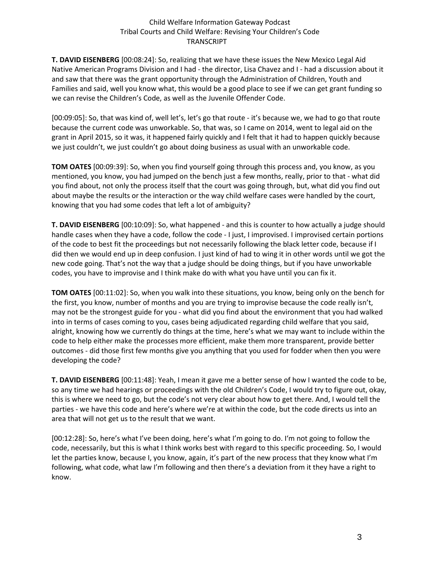**T. DAVID EISENBERG** [00:08:24]: So, realizing that we have these issues the New Mexico Legal Aid Native American Programs Division and I had - the director, Lisa Chavez and I - had a discussion about it and saw that there was the grant opportunity through the Administration of Children, Youth and Families and said, well you know what, this would be a good place to see if we can get grant funding so we can revise the Children's Code, as well as the Juvenile Offender Code.

[00:09:05]: So, that was kind of, well let's, let's go that route - it's because we, we had to go that route because the current code was unworkable. So, that was, so I came on 2014, went to legal aid on the grant in April 2015, so it was, it happened fairly quickly and I felt that it had to happen quickly because we just couldn't, we just couldn't go about doing business as usual with an unworkable code.

**TOM OATES** [00:09:39]: So, when you find yourself going through this process and, you know, as you mentioned, you know, you had jumped on the bench just a few months, really, prior to that - what did you find about, not only the process itself that the court was going through, but, what did you find out about maybe the results or the interaction or the way child welfare cases were handled by the court, knowing that you had some codes that left a lot of ambiguity?

**T. DAVID EISENBERG** [00:10:09]: So, what happened - and this is counter to how actually a judge should handle cases when they have a code, follow the code - I just, I improvised. I improvised certain portions of the code to best fit the proceedings but not necessarily following the black letter code, because if I did then we would end up in deep confusion. I just kind of had to wing it in other words until we got the new code going. That's not the way that a judge should be doing things, but if you have unworkable codes, you have to improvise and I think make do with what you have until you can fix it.

**TOM OATES** [00:11:02]: So, when you walk into these situations, you know, being only on the bench for the first, you know, number of months and you are trying to improvise because the code really isn't, may not be the strongest guide for you - what did you find about the environment that you had walked into in terms of cases coming to you, cases being adjudicated regarding child welfare that you said, alright, knowing how we currently do things at the time, here's what we may want to include within the code to help either make the processes more efficient, make them more transparent, provide better outcomes - did those first few months give you anything that you used for fodder when then you were developing the code?

**T. DAVID EISENBERG** [00:11:48]: Yeah, I mean it gave me a better sense of how I wanted the code to be, so any time we had hearings or proceedings with the old Children's Code, I would try to figure out, okay, this is where we need to go, but the code's not very clear about how to get there. And, I would tell the parties - we have this code and here's where we're at within the code, but the code directs us into an area that will not get us to the result that we want.

[00:12:28]: So, here's what I've been doing, here's what I'm going to do. I'm not going to follow the code, necessarily, but this is what I think works best with regard to this specific proceeding. So, I would let the parties know, because I, you know, again, it's part of the new process that they know what I'm following, what code, what law I'm following and then there's a deviation from it they have a right to know.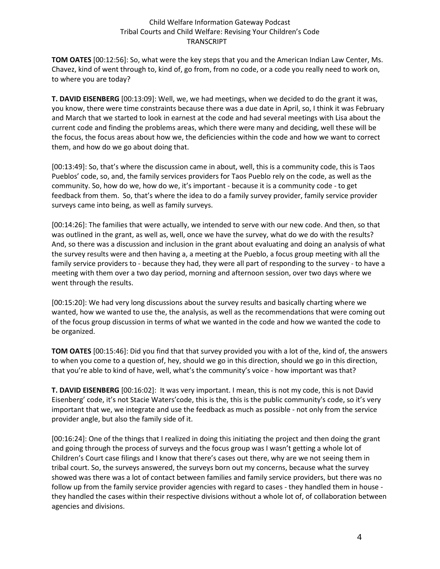**TOM OATES** [00:12:56]: So, what were the key steps that you and the American Indian Law Center, Ms. Chavez, kind of went through to, kind of, go from, from no code, or a code you really need to work on, to where you are today?

**T. DAVID EISENBERG** [00:13:09]: Well, we, we had meetings, when we decided to do the grant it was, you know, there were time constraints because there was a due date in April, so, I think it was February and March that we started to look in earnest at the code and had several meetings with Lisa about the current code and finding the problems areas, which there were many and deciding, well these will be the focus, the focus areas about how we, the deficiencies within the code and how we want to correct them, and how do we go about doing that.

[00:13:49]: So, that's where the discussion came in about, well, this is a community code, this is Taos Pueblos' code, so, and, the family services providers for Taos Pueblo rely on the code, as well as the community. So, how do we, how do we, it's important - because it is a community code - to get feedback from them. So, that's where the idea to do a family survey provider, family service provider surveys came into being, as well as family surveys.

[00:14:26]: The families that were actually, we intended to serve with our new code. And then, so that was outlined in the grant, as well as, well, once we have the survey, what do we do with the results? And, so there was a discussion and inclusion in the grant about evaluating and doing an analysis of what the survey results were and then having a, a meeting at the Pueblo, a focus group meeting with all the family service providers to - because they had, they were all part of responding to the survey - to have a meeting with them over a two day period, morning and afternoon session, over two days where we went through the results.

[00:15:20]: We had very long discussions about the survey results and basically charting where we wanted, how we wanted to use the, the analysis, as well as the recommendations that were coming out of the focus group discussion in terms of what we wanted in the code and how we wanted the code to be organized.

**TOM OATES** [00:15:46]: Did you find that that survey provided you with a lot of the, kind of, the answers to when you come to a question of, hey, should we go in this direction, should we go in this direction, that you're able to kind of have, well, what's the community's voice - how important was that?

**T. DAVID EISENBERG** [00:16:02]: It was very important. I mean, this is not my code, this is not David Eisenberg' code, it's not Stacie Waters'code, this is the, this is the public community's code, so it's very important that we, we integrate and use the feedback as much as possible - not only from the service provider angle, but also the family side of it.

[00:16:24]: One of the things that I realized in doing this initiating the project and then doing the grant and going through the process of surveys and the focus group was I wasn't getting a whole lot of Children's Court case filings and I know that there's cases out there, why are we not seeing them in tribal court. So, the surveys answered, the surveys born out my concerns, because what the survey showed was there was a lot of contact between families and family service providers, but there was no follow up from the family service provider agencies with regard to cases - they handled them in house they handled the cases within their respective divisions without a whole lot of, of collaboration between agencies and divisions.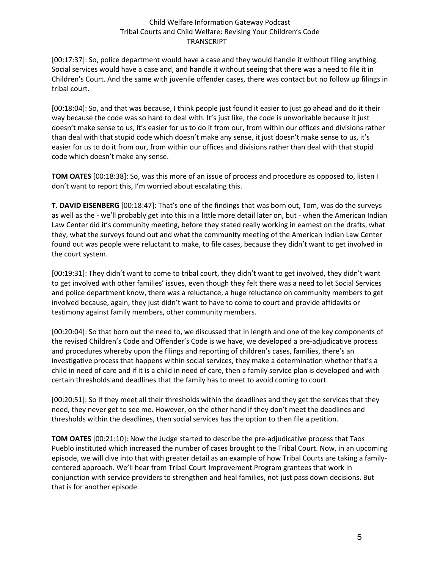[00:17:37]: So, police department would have a case and they would handle it without filing anything. Social services would have a case and, and handle it without seeing that there was a need to file it in Children's Court. And the same with juvenile offender cases, there was contact but no follow up filings in tribal court.

[00:18:04]: So, and that was because, I think people just found it easier to just go ahead and do it their way because the code was so hard to deal with. It's just like, the code is unworkable because it just doesn't make sense to us, it's easier for us to do it from our, from within our offices and divisions rather than deal with that stupid code which doesn't make any sense, it just doesn't make sense to us, it's easier for us to do it from our, from within our offices and divisions rather than deal with that stupid code which doesn't make any sense.

**TOM OATES** [00:18:38]: So, was this more of an issue of process and procedure as opposed to, listen I don't want to report this, I'm worried about escalating this.

**T. DAVID EISENBERG** [00:18:47]: That's one of the findings that was born out, Tom, was do the surveys as well as the - we'll probably get into this in a little more detail later on, but - when the American Indian Law Center did it's community meeting, before they stated really working in earnest on the drafts, what they, what the surveys found out and what the community meeting of the American Indian Law Center found out was people were reluctant to make, to file cases, because they didn't want to get involved in the court system.

[00:19:31]: They didn't want to come to tribal court, they didn't want to get involved, they didn't want to get involved with other families' issues, even though they felt there was a need to let Social Services and police department know, there was a reluctance, a huge reluctance on community members to get involved because, again, they just didn't want to have to come to court and provide affidavits or testimony against family members, other community members.

[00:20:04]: So that born out the need to, we discussed that in length and one of the key components of the revised Children's Code and Offender's Code is we have, we developed a pre-adjudicative process and procedures whereby upon the filings and reporting of children's cases, families, there's an investigative process that happens within social services, they make a determination whether that's a child in need of care and if it is a child in need of care, then a family service plan is developed and with certain thresholds and deadlines that the family has to meet to avoid coming to court.

[00:20:51]: So if they meet all their thresholds within the deadlines and they get the services that they need, they never get to see me. However, on the other hand if they don't meet the deadlines and thresholds within the deadlines, then social services has the option to then file a petition.

**TOM OATES** [00:21:10]: Now the Judge started to describe the pre-adjudicative process that Taos Pueblo instituted which increased the number of cases brought to the Tribal Court. Now, in an upcoming episode, we will dive into that with greater detail as an example of how Tribal Courts are taking a familycentered approach. We'll hear from Tribal Court Improvement Program grantees that work in conjunction with service providers to strengthen and heal families, not just pass down decisions. But that is for another episode.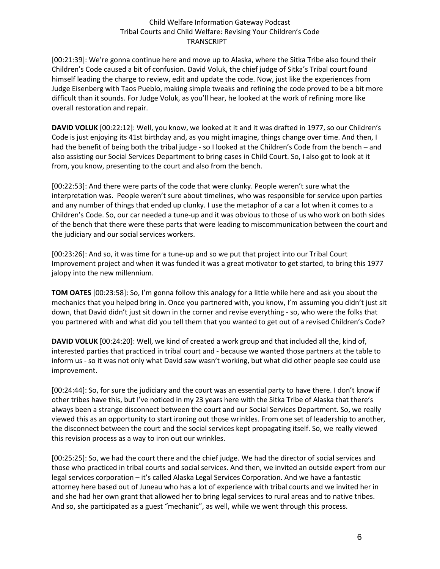[00:21:39]: We're gonna continue here and move up to Alaska, where the Sitka Tribe also found their Children's Code caused a bit of confusion. David Voluk, the chief judge of Sitka's Tribal court found himself leading the charge to review, edit and update the code. Now, just like the experiences from Judge Eisenberg with Taos Pueblo, making simple tweaks and refining the code proved to be a bit more difficult than it sounds. For Judge Voluk, as you'll hear, he looked at the work of refining more like overall restoration and repair.

**DAVID VOLUK** [00:22:12]: Well, you know, we looked at it and it was drafted in 1977, so our Children's Code is just enjoying its 41st birthday and, as you might imagine, things change over time. And then, I had the benefit of being both the tribal judge - so I looked at the Children's Code from the bench – and also assisting our Social Services Department to bring cases in Child Court. So, I also got to look at it from, you know, presenting to the court and also from the bench.

[00:22:53]: And there were parts of the code that were clunky. People weren't sure what the interpretation was. People weren't sure about timelines, who was responsible for service upon parties and any number of things that ended up clunky. I use the metaphor of a car a lot when it comes to a Children's Code. So, our car needed a tune-up and it was obvious to those of us who work on both sides of the bench that there were these parts that were leading to miscommunication between the court and the judiciary and our social services workers.

[00:23:26]: And so, it was time for a tune-up and so we put that project into our Tribal Court Improvement project and when it was funded it was a great motivator to get started, to bring this 1977 jalopy into the new millennium.

**TOM OATES** [00:23:58]: So, I'm gonna follow this analogy for a little while here and ask you about the mechanics that you helped bring in. Once you partnered with, you know, I'm assuming you didn't just sit down, that David didn't just sit down in the corner and revise everything - so, who were the folks that you partnered with and what did you tell them that you wanted to get out of a revised Children's Code?

**DAVID VOLUK** [00:24:20]: Well, we kind of created a work group and that included all the, kind of, interested parties that practiced in tribal court and - because we wanted those partners at the table to inform us - so it was not only what David saw wasn't working, but what did other people see could use improvement.

[00:24:44]: So, for sure the judiciary and the court was an essential party to have there. I don't know if other tribes have this, but I've noticed in my 23 years here with the Sitka Tribe of Alaska that there's always been a strange disconnect between the court and our Social Services Department. So, we really viewed this as an opportunity to start ironing out those wrinkles. From one set of leadership to another, the disconnect between the court and the social services kept propagating itself. So, we really viewed this revision process as a way to iron out our wrinkles.

[00:25:25]: So, we had the court there and the chief judge. We had the director of social services and those who practiced in tribal courts and social services. And then, we invited an outside expert from our legal services corporation – it's called Alaska Legal Services Corporation. And we have a fantastic attorney here based out of Juneau who has a lot of experience with tribal courts and we invited her in and she had her own grant that allowed her to bring legal services to rural areas and to native tribes. And so, she participated as a guest "mechanic", as well, while we went through this process.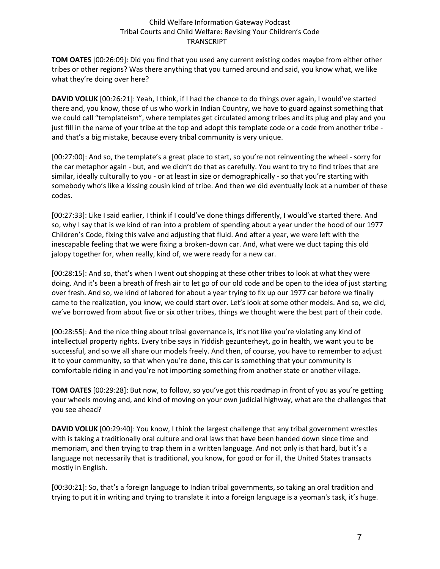**TOM OATES** [00:26:09]: Did you find that you used any current existing codes maybe from either other tribes or other regions? Was there anything that you turned around and said, you know what, we like what they're doing over here?

**DAVID VOLUK** [00:26:21]: Yeah, I think, if I had the chance to do things over again, I would've started there and, you know, those of us who work in Indian Country, we have to guard against something that we could call "templateism", where templates get circulated among tribes and its plug and play and you just fill in the name of your tribe at the top and adopt this template code or a code from another tribe and that's a big mistake, because every tribal community is very unique.

[00:27:00]: And so, the template's a great place to start, so you're not reinventing the wheel - sorry for the car metaphor again - but, and we didn't do that as carefully. You want to try to find tribes that are similar, ideally culturally to you - or at least in size or demographically - so that you're starting with somebody who's like a kissing cousin kind of tribe. And then we did eventually look at a number of these codes.

[00:27:33]: Like I said earlier, I think if I could've done things differently, I would've started there. And so, why I say that is we kind of ran into a problem of spending about a year under the hood of our 1977 Children's Code, fixing this valve and adjusting that fluid. And after a year, we were left with the inescapable feeling that we were fixing a broken-down car. And, what were we duct taping this old jalopy together for, when really, kind of, we were ready for a new car.

[00:28:15]: And so, that's when I went out shopping at these other tribes to look at what they were doing. And it's been a breath of fresh air to let go of our old code and be open to the idea of just starting over fresh. And so, we kind of labored for about a year trying to fix up our 1977 car before we finally came to the realization, you know, we could start over. Let's look at some other models. And so, we did, we've borrowed from about five or six other tribes, things we thought were the best part of their code.

[00:28:55]: And the nice thing about tribal governance is, it's not like you're violating any kind of intellectual property rights. Every tribe says in Yiddish gezunterheyt, go in health, we want you to be successful, and so we all share our models freely. And then, of course, you have to remember to adjust it to your community, so that when you're done, this car is something that your community is comfortable riding in and you're not importing something from another state or another village.

**TOM OATES** [00:29:28]: But now, to follow, so you've got this roadmap in front of you as you're getting your wheels moving and, and kind of moving on your own judicial highway, what are the challenges that you see ahead?

**DAVID VOLUK** [00:29:40]: You know, I think the largest challenge that any tribal government wrestles with is taking a traditionally oral culture and oral laws that have been handed down since time and memoriam, and then trying to trap them in a written language. And not only is that hard, but it's a language not necessarily that is traditional, you know, for good or for ill, the United States transacts mostly in English.

[00:30:21]: So, that's a foreign language to Indian tribal governments, so taking an oral tradition and trying to put it in writing and trying to translate it into a foreign language is a yeoman's task, it's huge.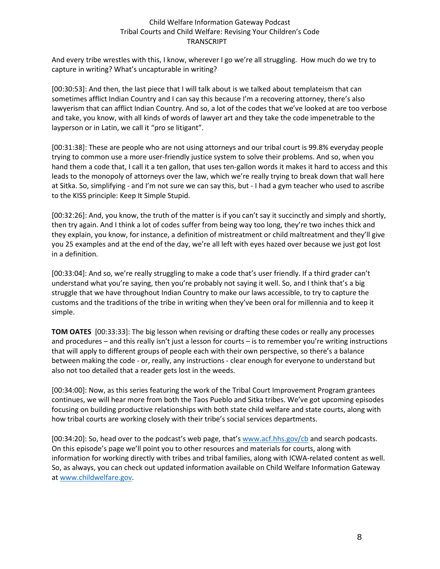And every tribe wrestles with this, I know, wherever I go we're all struggling. How much do we try to capture in writing? What's uncapturable in writing?

[00:30:53]: And then, the last piece that I will talk about is we talked about templateism that can sometimes afflict Indian Country and I can say this because I'm a recovering attorney, there's also lawyerism that can afflict Indian Country. And so, a lot of the codes that we've looked at are too verbose and take, you know, with all kinds of words of lawyer art and they take the code impenetrable to the layperson or in Latin, we call it "pro se litigant".

[00:31:38]: These are people who are not using attorneys and our tribal court is 99.8% everyday people trying to common use a more user-friendly justice system to solve their problems. And so, when you hand them a code that, I call it a ten gallon, that uses ten-gallon words it makes it hard to access and this leads to the monopoly of attorneys over the law, which we're really trying to break down that wall here at Sitka. So, simplifying - and I'm not sure we can say this, but - I had a gym teacher who used to ascribe to the KISS principle: Keep It Simple Stupid.

[00:32:26]: And, you know, the truth of the matter is if you can't say it succinctly and simply and shortly, then try again. And I think a lot of codes suffer from being way too long, they're two inches thick and they explain, you know, for instance, a definition of mistreatment or child maltreatment and they'll give you 25 examples and at the end of the day, we're all left with eyes hazed over because we just got lost in a definition.

[00:33:04]: And so, we're really struggling to make a code that's user friendly. If a third grader can't understand what you're saying, then you're probably not saying it well. So, and I think that's a big struggle that we have throughout Indian Country to make our laws accessible, to try to capture the customs and the traditions of the tribe in writing when they've been oral for millennia and to keep it simple.

**TOM OATES** [00:33:33]: The big lesson when revising or drafting these codes or really any processes and procedures – and this really isn't just a lesson for courts – is to remember you're writing instructions that will apply to different groups of people each with their own perspective, so there's a balance between making the code - or, really, any instructions - clear enough for everyone to understand but also not too detailed that a reader gets lost in the weeds.

[00:34:00]: Now, as this series featuring the work of the Tribal Court Improvement Program grantees continues, we will hear more from both the Taos Pueblo and Sitka tribes. We've got upcoming episodes focusing on building productive relationships with both state child welfare and state courts, along with how tribal courts are working closely with their tribe's social services departments.

[00:34:20]: So, head over to the podcast's web page, that'[s www.acf.hhs.gov/cb](http://www.acf.hhs.gov/cb) and search podcasts. On this episode's page we'll point you to other resources and materials for courts, along with information for working directly with tribes and tribal families, along with ICWA-related content as well. So, as always, you can check out updated information available on Child Welfare Information Gateway at [www.childwelfare.gov.](http://www.childwelfare.gov/)